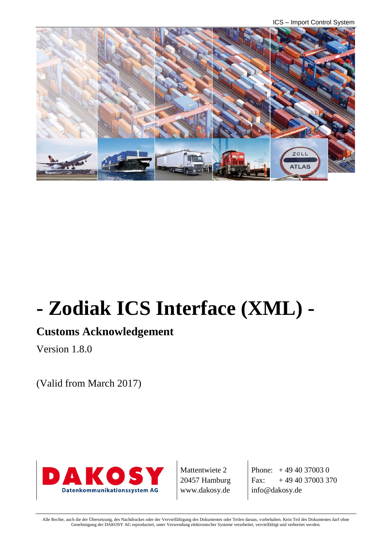ICS – Import Control System



# **- Zodiak ICS Interface (XML) -**

#### **Customs Acknowledgement**

Version 1.8.0

(Valid from March 2017)



Mattentwiete 2 20457 Hamburg www.dakosy.de

Phone:  $+4940370030$ Fax:  $+494037003370$ info@dakosy.de

Alle Rechte, auch die der Übersetzung, des Nachdruckes oder der Vervielfältigung des Dokumentes oder Teilen daraus, vorbehalten. Kein Teil des Dokumentes darf ohne Genehmigung der DAKOSY AG reproduziert, unter Verwendung elektronischer Systeme verarbeitet, vervielfältigt und verbreitet werden.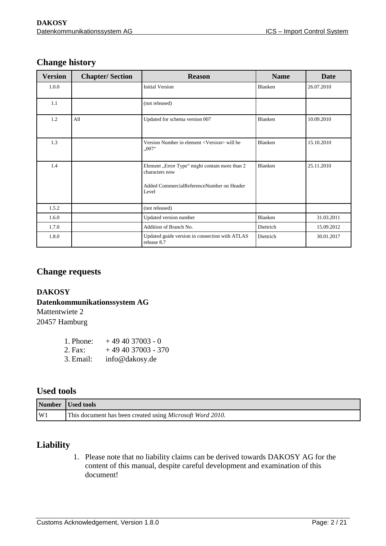| <b>Version</b> | <b>Chapter/Section</b> | <b>Reason</b>                                                                                                          | <b>Name</b>    | <b>Date</b> |
|----------------|------------------------|------------------------------------------------------------------------------------------------------------------------|----------------|-------------|
| 1.0.0          |                        | <b>Initial Version</b>                                                                                                 | Blanken        | 26.07.2010  |
| 1.1            |                        | (not released)                                                                                                         |                |             |
| 1.2            | A11                    | Updated for schema version 007                                                                                         | Blanken        | 10.09.2010  |
| 1.3            |                        | Version Number in element <version> will be<br/><math>,007</math><sup>cc</sup></version>                               | <b>Blanken</b> | 15.10.2010  |
| 1.4            |                        | Element "Error Type" might contain more than 2<br>characters now<br>Added CommercialReferenceNumber on Header<br>Level | <b>Blanken</b> | 25.11.2010  |
| 1.5.2          |                        | (not released)                                                                                                         |                |             |
| 1.6.0          |                        | Updated version number                                                                                                 | Blanken        | 31.03.2011  |
| 1.7.0          |                        | Addition of Branch No.                                                                                                 | Diettrich      | 15.09.2012  |
| 1.8.0          |                        | Updated guide version in connection with ATLAS<br>Diettrich<br>release 8.7                                             |                | 30.01.2017  |

#### **Change history**

#### **Change requests**

#### **DAKOSY**

#### **Datenkommunikationssystem AG**

Mattentwiete 2 20457 Hamburg

| 1. Phone: | $+494037003 - 0$   |
|-----------|--------------------|
| 2. Fax:   | $+494037003 - 370$ |
| 3. Email: | info@dakosy.de     |

#### **Used tools**

|    | Number Used tools                                                 |
|----|-------------------------------------------------------------------|
| W1 | This document has been created using <i>Microsoft Word 2010</i> . |

#### **Liability**

1. Please note that no liability claims can be derived towards DAKOSY AG for the content of this manual, despite careful development and examination of this document!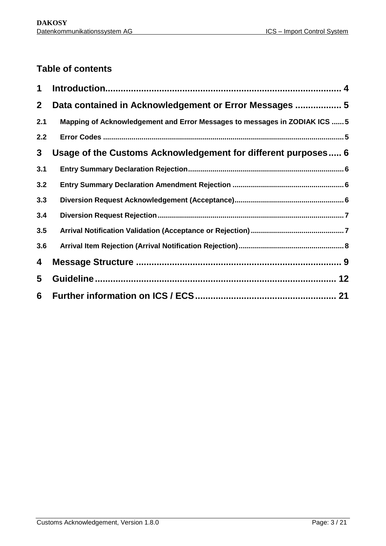#### **Table of contents**

| 1            |                                                                            |
|--------------|----------------------------------------------------------------------------|
| $\mathbf{2}$ | Data contained in Acknowledgement or Error Messages  5                     |
| 2.1          | Mapping of Acknowledgement and Error Messages to messages in ZODIAK ICS  5 |
| 2.2          |                                                                            |
| 3            | Usage of the Customs Acknowledgement for different purposes 6              |
| 3.1          |                                                                            |
| 3.2          |                                                                            |
| 3.3          |                                                                            |
| 3.4          |                                                                            |
| 3.5          |                                                                            |
| 3.6          |                                                                            |
| 4            |                                                                            |
| 5            |                                                                            |
| 6            |                                                                            |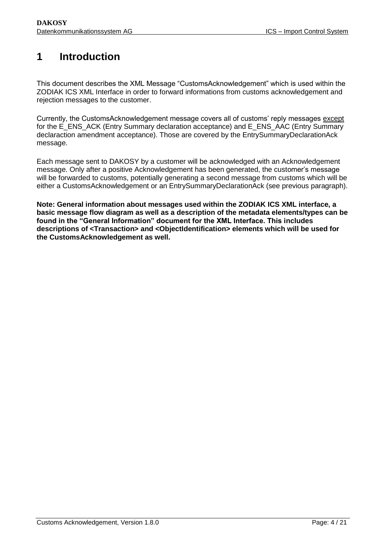#### <span id="page-3-0"></span>**1 Introduction**

This document describes the XML Message "CustomsAcknowledgement" which is used within the ZODIAK ICS XML Interface in order to forward informations from customs acknowledgement and rejection messages to the customer.

Currently, the CustomsAcknowledgement message covers all of customs' reply messages except for the E\_ENS\_ACK (Entry Summary declaration acceptance) and E\_ENS\_AAC (Entry Summary declaraction amendment acceptance). Those are covered by the EntrySummaryDeclarationAck message.

Each message sent to DAKOSY by a customer will be acknowledged with an Acknowledgement message. Only after a positive Acknowledgement has been generated, the customer's message will be forwarded to customs, potentially generating a second message from customs which will be either a CustomsAcknowledgement or an EntrySummaryDeclarationAck (see previous paragraph).

**Note: General information about messages used within the ZODIAK ICS XML interface, a basic message flow diagram as well as a description of the metadata elements/types can be found in the "General Information" document for the XML Interface. This includes descriptions of <Transaction> and <ObjectIdentification> elements which will be used for the CustomsAcknowledgement as well.**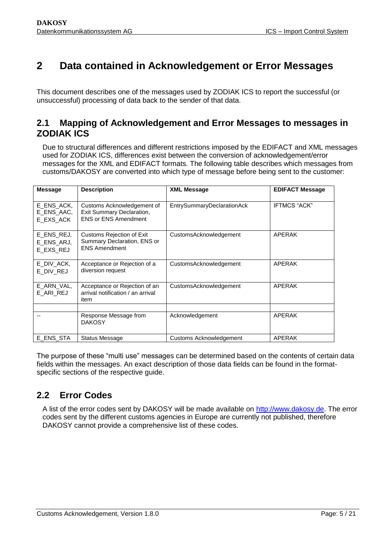#### <span id="page-4-0"></span>**2 Data contained in Acknowledgement or Error Messages**

This document describes one of the messages used by ZODIAK ICS to report the successful (or unsuccessful) processing of data back to the sender of that data.

#### <span id="page-4-1"></span>**2.1 Mapping of Acknowledgement and Error Messages to messages in ZODIAK ICS**

Due to structural differences and different restrictions imposed by the EDIFACT and XML messages used for ZODIAK ICS, differences exist between the conversion of acknowledgement/error messages for the XML and EDIFACT formats. The following table describes which messages from customs/DAKOSY are converted into which type of message before being sent to the customer:

| <b>Message</b>                        | <b>Description</b>                                                                      | <b>XML Message</b>                | <b>EDIFACT Message</b> |
|---------------------------------------|-----------------------------------------------------------------------------------------|-----------------------------------|------------------------|
| E ENS ACK,<br>E ENS AAC.<br>E EXS ACK | Customs Acknowledgement of<br>Exit Summary Declaration,<br><b>ENS or ENS Amendment</b>  | <b>EntrySummaryDeclarationAck</b> | <b>IFTMCS "ACK"</b>    |
| E_ENS_REJ,<br>E_ENS_ARJ,<br>E EXS REJ | <b>Customs Rejection of Exit</b><br>Summary Declaration, ENS or<br><b>ENS Amendment</b> | CustomsAcknowledgement            | APERAK                 |
| E DIV ACK,<br>E_DIV_REJ               | Acceptance or Rejection of a<br>diversion request                                       | CustomsAcknowledgement            | APERAK                 |
| E ARN VAL,<br>E ARI REJ               | Acceptance or Rejection of an<br>arrival notification / an arrival<br>item              | CustomsAcknowledgement            | APERAK                 |
|                                       |                                                                                         |                                   |                        |
|                                       | Response Message from<br><b>DAKOSY</b>                                                  | Acknowledgement                   | APERAK                 |
| E ENS STA                             | Status Message                                                                          | Customs Acknowledgement           | <b>APERAK</b>          |

The purpose of these "multi use" messages can be determined based on the contents of certain data fields within the messages. An exact description of those data fields can be found in the formatspecific sections of the respective guide.

#### <span id="page-4-2"></span>**2.2 Error Codes**

A list of the error codes sent by DAKOSY will be made available on [http://www.dakosy.de.](http://www.dakosy.de/) The error codes sent by the different customs agencies in Europe are currently not published, therefore DAKOSY cannot provide a comprehensive list of these codes.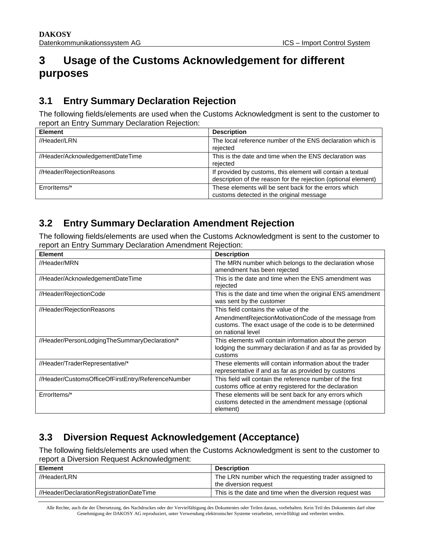#### **3 Usage of the Customs Acknowledgement for different purposes**

#### <span id="page-5-0"></span>**3.1 Entry Summary Declaration Rejection**

The following fields/elements are used when the Customs Acknowledgment is sent to the customer to report an Entry Summary Declaration Rejection:

<span id="page-5-1"></span>

| <b>Element</b>                   | <b>Description</b>                                                                                                            |
|----------------------------------|-------------------------------------------------------------------------------------------------------------------------------|
| //Header/LRN                     | The local reference number of the ENS declaration which is<br>rejected                                                        |
| //Header/AcknowledgementDateTime | This is the date and time when the ENS declaration was<br>rejected                                                            |
| //Header/RejectionReasons        | If provided by customs, this element will contain a textual<br>description of the reason for the rejection (optional element) |
| Errorltems/*                     | These elements will be sent back for the errors which<br>customs detected in the original message                             |

#### **3.2 Entry Summary Declaration Amendment Rejection**

The following fields/elements are used when the Customs Acknowledgment is sent to the customer to report an Entry Summary Declaration Amendment Rejection:

<span id="page-5-2"></span>

| <b>Element</b>                                     | <b>Description</b>                                                                                                                                                            |
|----------------------------------------------------|-------------------------------------------------------------------------------------------------------------------------------------------------------------------------------|
| //Header/MRN                                       | The MRN number which belongs to the declaration whose<br>amendment has been rejected                                                                                          |
| //Header/AcknowledgementDateTime                   | This is the date and time when the ENS amendment was<br>rejected                                                                                                              |
| //Header/RejectionCode                             | This is the date and time when the original ENS amendment<br>was sent by the customer                                                                                         |
| //Header/RejectionReasons                          | This field contains the value of the<br>AmendmentRejectionMotivationCode of the message from<br>customs. The exact usage of the code is to be determined<br>on national level |
| //Header/PersonLodgingTheSummaryDeclaration/*      | This elements will contain information about the person<br>lodging the summary declaration if and as far as provided by<br>customs                                            |
| //Header/TraderRepresentative/*                    | These elements will contain information about the trader<br>representative if and as far as provided by customs                                                               |
| //Header/CustomsOfficeOfFirstEntry/ReferenceNumber | This field will contain the reference number of the first<br>customs office at entry registered for the declaration                                                           |
| Errorltems/*                                       | These elements will be sent back for any errors which<br>customs detected in the amendment message (optional<br>element)                                                      |

#### **3.3 Diversion Request Acknowledgement (Acceptance)**

The following fields/elements are used when the Customs Acknowledgment is sent to the customer to report a Diversion Request Acknowledgment:

<span id="page-5-3"></span>

| <b>Element</b>                           | <b>Description</b>                                                              |
|------------------------------------------|---------------------------------------------------------------------------------|
| //Header/LRN                             | The LRN number which the requesting trader assigned to<br>the diversion request |
| //Header/DeclarationRegistrationDateTime | This is the date and time when the diversion request was                        |

Alle Rechte, auch die der Übersetzung, des Nachdruckes oder der Vervielfältigung des Dokumentes oder Teilen daraus, vorbehalten. Kein Teil des Dokumentes darf ohne Genehmigung der DAKOSY AG reproduziert, unter Verwendung elektronischer Systeme verarbeitet, vervielfältigt und verbreitet werden.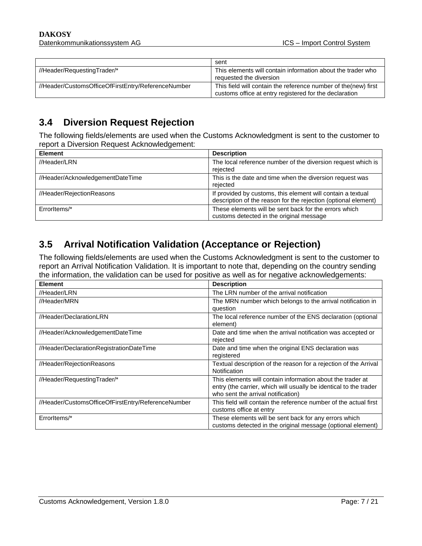|                                                    | sent                                                                                                                      |
|----------------------------------------------------|---------------------------------------------------------------------------------------------------------------------------|
| //Header/RequestingTrader/*                        | This elements will contain information about the trader who<br>requested the diversion                                    |
| //Header/CustomsOfficeOfFirstEntry/ReferenceNumber | This field will contain the reference number of the (new) first<br>customs office at entry registered for the declaration |

#### **3.4 Diversion Request Rejection**

The following fields/elements are used when the Customs Acknowledgment is sent to the customer to report a Diversion Request Acknowledgement:

<span id="page-6-0"></span>

| <b>Element</b>                   | <b>Description</b>                                                                                                            |
|----------------------------------|-------------------------------------------------------------------------------------------------------------------------------|
| //Header/LRN                     | The local reference number of the diversion request which is<br>rejected                                                      |
| //Header/AcknowledgementDateTime | This is the date and time when the diversion request was<br>rejected                                                          |
| //Header/RejectionReasons        | If provided by customs, this element will contain a textual<br>description of the reason for the rejection (optional element) |
| Errorltems/*                     | These elements will be sent back for the errors which<br>customs detected in the original message                             |

#### **3.5 Arrival Notification Validation (Acceptance or Rejection)**

The following fields/elements are used when the Customs Acknowledgment is sent to the customer to report an Arrival Notification Validation. It is important to note that, depending on the country sending the information, the validation can be used for positive as well as for negative acknowledgements:

<span id="page-6-1"></span>

| <b>Element</b>                                     | <b>Description</b>                                                                                                                                                    |
|----------------------------------------------------|-----------------------------------------------------------------------------------------------------------------------------------------------------------------------|
| //Header/LRN                                       | The LRN number of the arrival notification                                                                                                                            |
| //Header/MRN                                       | The MRN number which belongs to the arrival notification in<br>question                                                                                               |
| //Header/DeclarationLRN                            | The local reference number of the ENS declaration (optional<br>element)                                                                                               |
| //Header/AcknowledgementDateTime                   | Date and time when the arrival notification was accepted or<br>rejected                                                                                               |
| //Header/DeclarationRegistrationDateTime           | Date and time when the original ENS declaration was<br>registered                                                                                                     |
| //Header/RejectionReasons                          | Textual description of the reason for a rejection of the Arrival<br>Notification                                                                                      |
| //Header/RequestingTrader/*                        | This elements will contain information about the trader at<br>entry (the carrier, which will usually be identical to the trader<br>who sent the arrival notification) |
| //Header/CustomsOfficeOfFirstEntry/ReferenceNumber | This field will contain the reference number of the actual first<br>customs office at entry                                                                           |
| Errorltems/*                                       | These elements will be sent back for any errors which<br>customs detected in the original message (optional element)                                                  |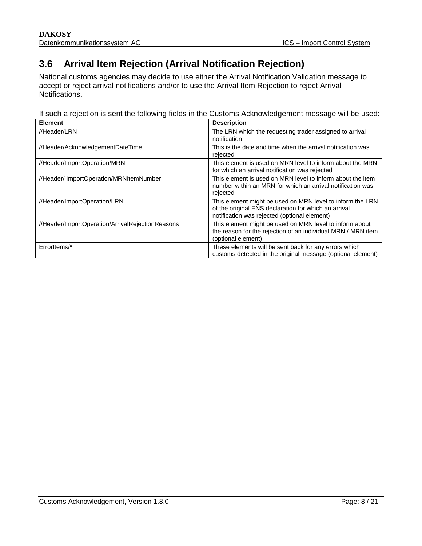#### **3.6 Arrival Item Rejection (Arrival Notification Rejection)**

National customs agencies may decide to use either the Arrival Notification Validation message to accept or reject arrival notifications and/or to use the Arrival Item Rejection to reject Arrival Notifications.

<span id="page-7-0"></span>If such a rejection is sent the following fields in the Customs Acknowledgement message will be used:

| <b>Element</b>                                   | <b>Description</b>                                                                                                                                                |
|--------------------------------------------------|-------------------------------------------------------------------------------------------------------------------------------------------------------------------|
| //Header/LRN                                     | The LRN which the requesting trader assigned to arrival<br>notification                                                                                           |
| //Header/AcknowledgementDateTime                 | This is the date and time when the arrival notification was<br>rejected                                                                                           |
| //Header/ImportOperation/MRN                     | This element is used on MRN level to inform about the MRN<br>for which an arrival notification was rejected                                                       |
| //Header/ ImportOperation/MRNItemNumber          | This element is used on MRN level to inform about the item<br>number within an MRN for which an arrival notification was<br>rejected                              |
| //Header/ImportOperation/LRN                     | This element might be used on MRN level to inform the LRN<br>of the original ENS declaration for which an arrival<br>notification was rejected (optional element) |
| //Header/ImportOperation/ArrivalRejectionReasons | This element might be used on MRN level to inform about<br>the reason for the rejection of an individual MRN / MRN item<br>(optional element)                     |
| ErrorItems/*                                     | These elements will be sent back for any errors which<br>customs detected in the original message (optional element)                                              |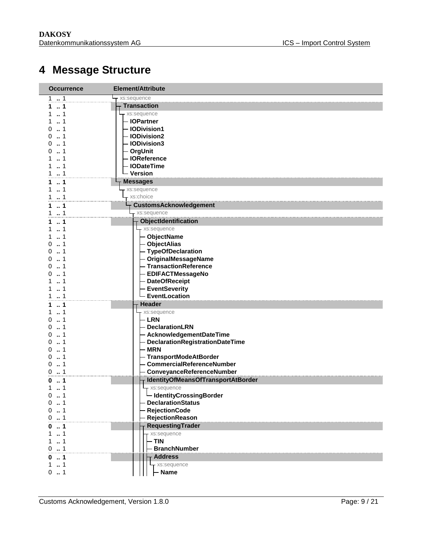### **Message Structure**

<span id="page-8-0"></span>

| <b>Occurrence</b>        | Element/Attribute                       |  |  |
|--------------------------|-----------------------------------------|--|--|
| 1.1                      | xs:sequence                             |  |  |
| 1<br>1                   | <b>Transaction</b>                      |  |  |
| 1<br>1                   | xs:sequence                             |  |  |
| $\therefore$ 1<br>1.     | - IOPartner                             |  |  |
| $\dots$ 1<br>O           | <b>IODivision1</b>                      |  |  |
| $\dots$ 1<br>U           | <b>IODivision2</b>                      |  |  |
| 1<br>0                   | <b>IODivision3</b>                      |  |  |
| 1<br>$\Omega$            | - OrgUnit                               |  |  |
| 1<br>1<br>1              | <b>IOReference</b><br><b>IODateTime</b> |  |  |
| 1.1                      | - Version                               |  |  |
| $\ldots$ 1<br>1          | <b>Messages</b>                         |  |  |
| $\dots$ 1<br>1.          | xs:sequence                             |  |  |
| $\ldots$ 1<br>1.         | xs:choice                               |  |  |
| 1<br>1                   | <b>CustomsAcknowledgement</b>           |  |  |
| 1<br>1                   | xs:sequence                             |  |  |
| 1<br>1                   | <b>ObjectIdentification</b>             |  |  |
| $\dots$ 1                | xs:sequence                             |  |  |
| 1                        | - ObjectName                            |  |  |
| 1<br>O                   | - ObjectAlias                           |  |  |
| 1<br>0                   | - TypeOfDeclaration                     |  |  |
| 1<br>0                   | OriginalMessageName                     |  |  |
| 1<br>0                   | <b>TransactionReference</b>             |  |  |
| 1<br>n                   | <b>EDIFACTMessageNo</b>                 |  |  |
| 1                        | <b>DateOfReceipt</b>                    |  |  |
| $\ldots$ 1               | <b>EventSeverity</b>                    |  |  |
| 1                        | <b>EventLocation</b>                    |  |  |
| 1<br>1                   | Header                                  |  |  |
| $\cdot$ 1<br>1           | xs:sequence                             |  |  |
| 1<br>0<br>$\cdot$ 1<br>0 | - LRN<br>- DeclarationLRN               |  |  |
| 1<br>o                   | AcknowledgementDateTime                 |  |  |
| 1<br>0                   | DeclarationRegistrationDateTime         |  |  |
| 1<br>0                   | <b>MRN</b>                              |  |  |
| 1<br>0                   | TransportModeAtBorder                   |  |  |
| $\dots$ 1<br>0           | <b>CommercialReferenceNumber</b>        |  |  |
| 1<br>0                   | ConveyanceReferenceNumber               |  |  |
| 1<br>0                   | IdentityOfMeansOfTransportAtBorder      |  |  |
| $\dots$ 1<br>1.          | xs:sequence                             |  |  |
| o<br>1                   | └ IdentityCrossingBorder                |  |  |
| 1<br>0                   | <b>DeclarationStatus</b>                |  |  |
| 1<br>0                   | <b>RejectionCode</b>                    |  |  |
| 0.1                      | <b>RejectionReason</b>                  |  |  |
| 1<br>0                   | RequestingTrader                        |  |  |
| 1<br>1                   | xs:sequence                             |  |  |
| 1                        | <b>TIN</b>                              |  |  |
| 1<br>0                   | <b>BranchNumber</b>                     |  |  |
| 1<br>0                   | <b>Address</b>                          |  |  |
| $1 \t  1$<br>. . 1<br>0  | xs:sequence<br><b>Name</b>              |  |  |
|                          |                                         |  |  |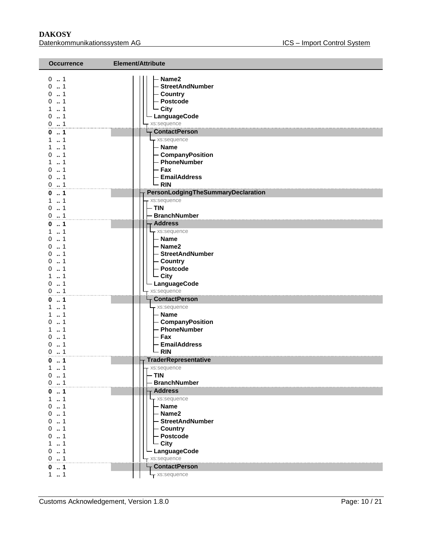| <b>Occurrence</b>                                                                                                            | <b>Element/Attribute</b>                                                                                                                                                                                                           |
|------------------------------------------------------------------------------------------------------------------------------|------------------------------------------------------------------------------------------------------------------------------------------------------------------------------------------------------------------------------------|
| $0 \t  1$<br>01<br>0.1<br>0.1<br>11<br>0.1<br>01<br>$\dots$ 1<br>0<br>11<br>11<br>0.1<br>$\ldots$ 1<br>1<br>0.1<br>0.1<br>01 | Name2<br><b>StreetAndNumber</b><br>- Country<br>- Postcode<br>- City<br>LanguageCode<br>xs:sequence<br><b>ContactPerson</b><br>- xs:sequence<br>– Name<br>- CompanyPosition<br>- PhoneNumber<br>- Fax<br>- EmailAddress<br>$-$ RIN |
| 01                                                                                                                           | PersonLodgingTheSummaryDeclaration                                                                                                                                                                                                 |
| 11<br>0.1<br>0.1                                                                                                             | xs:sequence<br>$- TIN$<br><b>BranchNumber</b>                                                                                                                                                                                      |
| $0 \dots 1$                                                                                                                  | <b>Address</b>                                                                                                                                                                                                                     |
| 11<br>$0 \t  1$                                                                                                              | - xs:sequence<br>- Name                                                                                                                                                                                                            |
| 0.1                                                                                                                          | - Name2                                                                                                                                                                                                                            |
| 0.1                                                                                                                          | - StreetAndNumber                                                                                                                                                                                                                  |
| 01                                                                                                                           | - Country                                                                                                                                                                                                                          |
| 1<br>0                                                                                                                       | - Postcode                                                                                                                                                                                                                         |
| . . 1<br>1                                                                                                                   | $\overline{\phantom{a}}$ City                                                                                                                                                                                                      |
| 0.1                                                                                                                          | - LanguageCode                                                                                                                                                                                                                     |
| 0.1                                                                                                                          | xs:sequence                                                                                                                                                                                                                        |
| $\ldots$ 1<br>0                                                                                                              | <b>ContactPerson</b>                                                                                                                                                                                                               |
| 11                                                                                                                           | - xs:sequence                                                                                                                                                                                                                      |
| . . 1<br>1.                                                                                                                  | - Name                                                                                                                                                                                                                             |
| $\dots$ 1<br>0<br>1<br>1                                                                                                     | - CompanyPosition<br>- PhoneNumber                                                                                                                                                                                                 |
| $\ldots$ 1<br>0                                                                                                              | - Fax                                                                                                                                                                                                                              |
| $\therefore$ 1<br>0                                                                                                          | - EmailAddress                                                                                                                                                                                                                     |
| 0.1                                                                                                                          | $\mathsf{L}$ RIN                                                                                                                                                                                                                   |
| 01                                                                                                                           | <b>TraderRepresentative</b>                                                                                                                                                                                                        |
| $1 \t  1$                                                                                                                    | - xs:sequence                                                                                                                                                                                                                      |
| 0.1                                                                                                                          | <b>TIN</b>                                                                                                                                                                                                                         |
| 01                                                                                                                           | <b>BranchNumber</b>                                                                                                                                                                                                                |
| $\ldots$ 1<br>0                                                                                                              | <b>Address</b>                                                                                                                                                                                                                     |
| 11                                                                                                                           | xs:sequence                                                                                                                                                                                                                        |
| $\dots$ 1<br>0<br>01                                                                                                         | - Name<br>- Name2                                                                                                                                                                                                                  |
| 01                                                                                                                           | <b>StreetAndNumber</b>                                                                                                                                                                                                             |
| 01                                                                                                                           | - Country                                                                                                                                                                                                                          |
| 1<br>0                                                                                                                       | - Postcode                                                                                                                                                                                                                         |
| 1<br>1                                                                                                                       | - City                                                                                                                                                                                                                             |
| $\ldots$ 1<br>0                                                                                                              | LanguageCode                                                                                                                                                                                                                       |
| 0.1                                                                                                                          | xs:sequence                                                                                                                                                                                                                        |
| $\ldots$ 1<br>0                                                                                                              | <b>ContactPerson</b>                                                                                                                                                                                                               |
| 1.1                                                                                                                          | xs:sequence                                                                                                                                                                                                                        |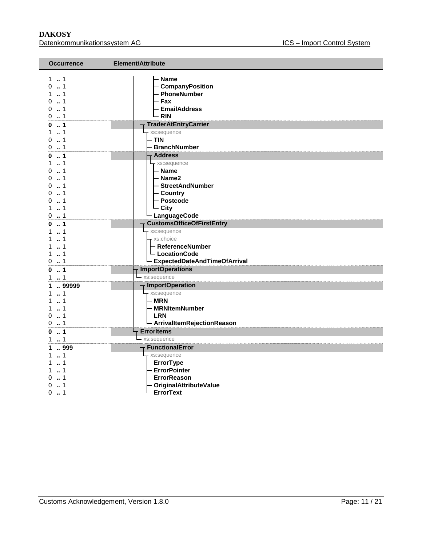#### **DAKOSY**<br>Datenkommunikationssystem AG<br>Datenkommunikationssystem AG<br>
Batenkommunikationssystem AG Datenkommunikationssystem AG

| <b>Occurrence</b>                                                                                      | Element/Attribute                                                                                                                   |  |  |
|--------------------------------------------------------------------------------------------------------|-------------------------------------------------------------------------------------------------------------------------------------|--|--|
| $1 \t  1$<br>01<br>$1 - 1$<br>. . 1<br>0<br>0.1<br>$0 \t  1$                                           | <b>Name</b><br>CompanyPosition<br>PhoneNumber<br>- Fax<br><b>EmailAddress</b><br>- RIN                                              |  |  |
| 01                                                                                                     | <b>TraderAtEntryCarrier</b>                                                                                                         |  |  |
| $1 \t  1$<br>$0 \dots 1$<br>$0 \t  1$                                                                  | xs:sequence<br>- TIN<br><b>BranchNumber</b>                                                                                         |  |  |
| $\ldots$ 1<br>0                                                                                        | <b>Address</b>                                                                                                                      |  |  |
| 1<br>1.<br>. . 1<br>0<br>. . 1<br>0<br>1<br>0<br>1<br><sup>0</sup><br>. . 1<br>0<br>. . 1<br>$0 \t  1$ | xs:sequence<br>- Name<br>- Name2<br>- StreetAndNumber<br>- Country<br>- Postcode<br>$\overline{\phantom{a}}$ City<br>- LanguageCode |  |  |
| $\ldots$ 1                                                                                             | CustomsOfficeOfFirstEntry                                                                                                           |  |  |
| 1<br>. . 1<br>$\dots$ 1<br>. . 1<br>1<br>$0 \t  1$                                                     | - xs:sequence<br>- xs:choice<br>- ReferenceNumber<br>- LocationCode<br>- ExpectedDateAndTimeOfArrival                               |  |  |
| 01                                                                                                     | <b>ImportOperations</b>                                                                                                             |  |  |
| 1. . 1                                                                                                 | xs:sequence                                                                                                                         |  |  |
| 99999<br>1.<br>. . 1<br>1<br>$\dots$ 1<br>01<br>$0$ 1                                                  | <b>ImportOperation</b><br>xs:sequence<br>- MRN<br>- MRNItemNumber<br>- LRN<br>- ArrivalItemRejectionReason                          |  |  |
| 01                                                                                                     | <b>ErrorItems</b>                                                                                                                   |  |  |
| 11                                                                                                     | xs:sequence                                                                                                                         |  |  |
| 999<br>1<br>11<br>1<br>1                                                                               | <b>FunctionalError</b><br>- xs:sequence<br>- ErrorType<br>- ErrorPointer                                                            |  |  |
| . . 1<br>1<br>0.1                                                                                      | - ErrorReason<br>- OriginalAttributeValue<br>- ErrorText                                                                            |  |  |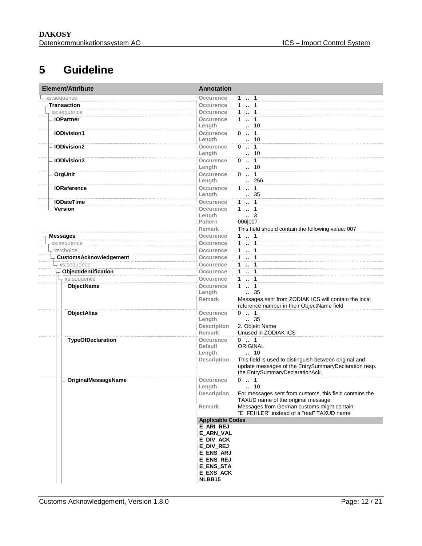#### **5 Guideline**

<span id="page-11-0"></span>

| Element/Attribute             | <b>Annotation</b>                   |                                                         |
|-------------------------------|-------------------------------------|---------------------------------------------------------|
| xs:sequence                   | Occurence                           | 1.1                                                     |
| <b>Transaction</b>            | Occurence                           | $1 - 1$                                                 |
| xs:sequence                   | Occurence                           | $1 \cdot 1$                                             |
| - IOPartner                   | <b>Occurence</b>                    | $1 - 1$                                                 |
|                               | Length                              | . 10                                                    |
| <b>IODivision1</b>            | Occurence                           | $0 \t . 1$                                              |
|                               | Length                              | $\cdot$ 10                                              |
| <b>IODivision2</b>            | Occurence                           | $0 \t  1$                                               |
|                               | Length                              | $\cdot$ 10                                              |
| <b>IODivision3</b>            | Occurence                           | $0 \t . \t 1$                                           |
|                               | Length                              | $-.10$                                                  |
| <b>OrgUnit</b>                | Occurence                           | $0 \t  1$                                               |
|                               | Length                              | 256                                                     |
| <b>IOReference</b>            | Occurence                           | $1 \t  1$                                               |
|                               | Length                              | $\,-.35$                                                |
| <b>IODateTime</b>             | Occurence                           | $1 - 1$                                                 |
| - Version                     | Occurence                           | $1 - 1$                                                 |
|                               | Length                              | $\ldots$ 3                                              |
|                               | <b>Pattern</b>                      | 006 007                                                 |
|                               | Remark                              | This field should contain the following value: 007      |
| <b>Messages</b>               | Occurence                           | $1 \t  1$                                               |
| xs:sequence                   | <b>Occurence</b>                    | $1 - 1$                                                 |
| xs:choice                     | <b>Occurence</b>                    | $1 - 1$                                                 |
| <b>CustomsAcknowledgement</b> | <b>Occurence</b>                    | $1 \t  \t 1$                                            |
|                               | Occurence                           | 11                                                      |
| xs:sequence                   |                                     |                                                         |
| ObjectIdentification          | <b>Occurence</b>                    | $1 - 1$                                                 |
| $\downarrow$ xs:sequence      | Occurence                           | $1 \cdot 1$                                             |
| ObjectName                    | Occurence                           | $1 \quad 1$                                             |
|                               | Length                              | 35                                                      |
|                               | <b>Remark</b>                       | Messages sent from ZODIAK ICS will contain the local    |
|                               |                                     | reference number in their ObjectName field              |
| <b>ObjectAlias</b>            | Occurence                           | 01<br>$\frac{1}{2}$ 35                                  |
|                               | Length                              |                                                         |
|                               | <b>Description</b><br><b>Remark</b> | 2. Objekt Name<br>Unused in ZODIAK ICS                  |
|                               | <b>Occurence</b>                    | $0 \t  1$                                               |
| <b>TypeOfDeclaration</b>      | <b>Default</b>                      | ORIGINAL                                                |
|                               | Length                              | . 10                                                    |
|                               | <b>Description</b>                  | This field is used to distinguish between original and  |
|                               |                                     | update messages of the EntrySummaryDeclaration resp.    |
|                               |                                     | the EntrySummaryDeclarationAck.                         |
| OriginalMessageName           | Occurence                           | $0 \t . 1$                                              |
|                               | Length                              | . 10                                                    |
|                               | Description                         | For messages sent from customs, this field contains the |
|                               |                                     | TAXUD name of the original message                      |
|                               | Remark                              | Messages from German customs might contain              |
|                               |                                     | "E_FEHLER" instead of a "real" TAXUD name               |
|                               | <b>Applicable Codes</b>             |                                                         |
|                               | <b>E_ARI_REJ</b>                    |                                                         |
|                               | E_ARN_VAL                           |                                                         |
|                               | E_DIV_ACK                           |                                                         |
|                               | E_DIV_REJ                           |                                                         |
|                               | <b>E_ENS_ARJ</b>                    |                                                         |
|                               | <b>E_ENS_REJ</b>                    |                                                         |
|                               | <b>E_ENS_STA</b>                    |                                                         |
|                               | <b>E EXS ACK</b>                    |                                                         |
|                               | NLBB15                              |                                                         |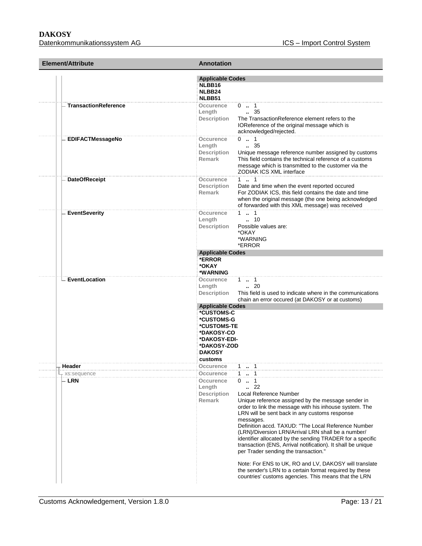| <b>Element/Attribute</b>    | <b>Annotation</b>                                                                                                                           |                                                                                                                                                                                                                                                                                                                                                                                                                                                                                                                                                                                                                                     |
|-----------------------------|---------------------------------------------------------------------------------------------------------------------------------------------|-------------------------------------------------------------------------------------------------------------------------------------------------------------------------------------------------------------------------------------------------------------------------------------------------------------------------------------------------------------------------------------------------------------------------------------------------------------------------------------------------------------------------------------------------------------------------------------------------------------------------------------|
|                             | <b>Applicable Codes</b><br>NLBB16<br>NLBB24<br>NLBB51                                                                                       |                                                                                                                                                                                                                                                                                                                                                                                                                                                                                                                                                                                                                                     |
| <b>TransactionReference</b> | Occurence<br>Length<br>Description                                                                                                          | $0 \t  1$<br>$\frac{1}{2}$ 35<br>The TransactionReference element refers to the<br>IOReference of the original message which is<br>acknowledged/rejected.                                                                                                                                                                                                                                                                                                                                                                                                                                                                           |
| <b>EDIFACTMessageNo</b>     | Occurence<br>Length<br><b>Description</b><br>Remark                                                                                         | $0 \t  1$<br>$\frac{1}{2}$ 35<br>Unique message reference number assigned by customs<br>This field contains the technical reference of a customs<br>message which is transmitted to the customer via the<br>ZODIAK ICS XML interface                                                                                                                                                                                                                                                                                                                                                                                                |
| <b>DateOfReceipt</b>        | Occurence<br>Description<br><b>Remark</b>                                                                                                   | 11<br>Date and time when the event reported occured<br>For ZODIAK ICS, this field contains the date and time<br>when the original message (the one being acknowledged<br>of forwarded with this XML message) was received                                                                                                                                                                                                                                                                                                                                                                                                           |
| <b>EventSeverity</b>        | Occurence<br>Length<br><b>Description</b>                                                                                                   | $1 \t  \t 1$<br>$\, - 10$<br>Possible values are:<br>*OKAY<br>*WARNING<br>*ERROR                                                                                                                                                                                                                                                                                                                                                                                                                                                                                                                                                    |
|                             | <b>Applicable Codes</b><br>*ERROR<br>*OKAY<br>*WARNING                                                                                      |                                                                                                                                                                                                                                                                                                                                                                                                                                                                                                                                                                                                                                     |
| EventLocation               | Occurence<br>Length<br>Description                                                                                                          | 1 . 1<br>$\cdot$ 20<br>This field is used to indicate where in the communications<br>chain an error occured (at DAKOSY or at customs)                                                                                                                                                                                                                                                                                                                                                                                                                                                                                               |
|                             | <b>Applicable Codes</b><br>*CUSTOMS-C<br>*CUSTOMS-G<br>*CUSTOMS-TE<br>*DAKOSY-CO<br>*DAKOSY-EDI-<br>*DAKOSY-ZOD<br><b>DAKOSY</b><br>customs |                                                                                                                                                                                                                                                                                                                                                                                                                                                                                                                                                                                                                                     |
| Header                      | Occurence                                                                                                                                   | 1 . 1                                                                                                                                                                                                                                                                                                                                                                                                                                                                                                                                                                                                                               |
| xs:sequence<br>- LRN        | Occurence<br>Occurence<br>Length<br><b>Description</b><br><b>Remark</b>                                                                     | 1  1<br>$0 \t  1$<br>22<br>Local Reference Number<br>Unique reference assigned by the message sender in<br>order to link the message with his inhouse system. The<br>LRN will be sent back in any customs response<br>messages.<br>Definition accd. TAXUD: "The Local Reference Number<br>(LRN)/Diversion LRN/Arrival LRN shall be a number/<br>identifier allocated by the sending TRADER for a specific<br>transaction (ENS, Arrival notification). It shall be unique<br>per Trader sending the transaction."<br>Note: For ENS to UK, RO and LV, DAKOSY will translate<br>the sender's LRN to a certain format required by these |
|                             |                                                                                                                                             | countries' customs agencies. This means that the LRN                                                                                                                                                                                                                                                                                                                                                                                                                                                                                                                                                                                |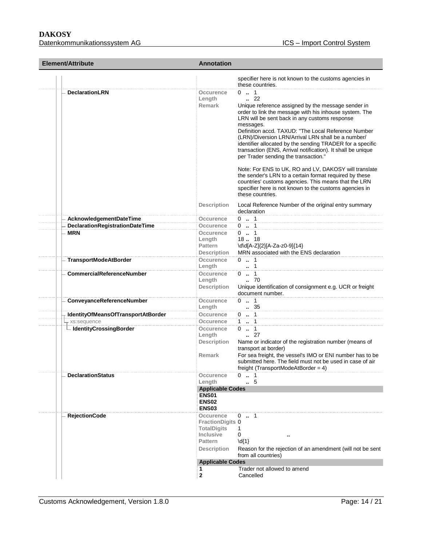| <b>Element/Attribute</b>           | <b>Annotation</b>                                                                                                                   |                                                                                                                                                                                                                                                                                                                                                                                                                                                                                                                                                                                                                                                                                                                                                     |
|------------------------------------|-------------------------------------------------------------------------------------------------------------------------------------|-----------------------------------------------------------------------------------------------------------------------------------------------------------------------------------------------------------------------------------------------------------------------------------------------------------------------------------------------------------------------------------------------------------------------------------------------------------------------------------------------------------------------------------------------------------------------------------------------------------------------------------------------------------------------------------------------------------------------------------------------------|
|                                    |                                                                                                                                     | specifier here is not known to the customs agencies in<br>these countries.                                                                                                                                                                                                                                                                                                                                                                                                                                                                                                                                                                                                                                                                          |
| <b>DeclarationLRN</b>              | Occurence<br>Length<br><b>Remark</b>                                                                                                | $0 \t  1$<br>$\binom{2}{2}$<br>Unique reference assigned by the message sender in<br>order to link the message with his inhouse system. The<br>LRN will be sent back in any customs response<br>messages.<br>Definition accd. TAXUD: "The Local Reference Number<br>(LRN)/Diversion LRN/Arrival LRN shall be a number/<br>identifier allocated by the sending TRADER for a specific<br>transaction (ENS, Arrival notification). It shall be unique<br>per Trader sending the transaction."<br>Note: For ENS to UK, RO and LV, DAKOSY will translate<br>the sender's LRN to a certain format required by these<br>countries' customs agencies. This means that the LRN<br>specifier here is not known to the customs agencies in<br>these countries. |
|                                    | <b>Description</b>                                                                                                                  | Local Reference Number of the original entry summary<br>declaration                                                                                                                                                                                                                                                                                                                                                                                                                                                                                                                                                                                                                                                                                 |
| AcknowledgementDateTime            | Occurence                                                                                                                           | $0 \t  1$                                                                                                                                                                                                                                                                                                                                                                                                                                                                                                                                                                                                                                                                                                                                           |
| DeclarationRegistrationDateTime    | Occurence                                                                                                                           | $0 \t  1$                                                                                                                                                                                                                                                                                                                                                                                                                                                                                                                                                                                                                                                                                                                                           |
| <b>MRN</b>                         | Occurence<br>Length<br>Pattern<br><b>Description</b>                                                                                | $0$ . 1<br>1818<br>\d\d[A-Z]{2}[A-Za-z0-9]{14}<br>MRN associated with the ENS declaration                                                                                                                                                                                                                                                                                                                                                                                                                                                                                                                                                                                                                                                           |
| <b>TransportModeAtBorder</b>       | Occurence<br>Length                                                                                                                 | $0 \t  1$<br>1                                                                                                                                                                                                                                                                                                                                                                                                                                                                                                                                                                                                                                                                                                                                      |
| <b>CommercialReferenceNumber</b>   | Occurence<br>Length<br><b>Description</b>                                                                                           | $0 \t  1$<br>.70<br>Unique identification of consignment e.g. UCR or freight<br>document number.                                                                                                                                                                                                                                                                                                                                                                                                                                                                                                                                                                                                                                                    |
| ConveyanceReferenceNumber          | Occurence<br>Length                                                                                                                 | $0 \t  1$<br>35                                                                                                                                                                                                                                                                                                                                                                                                                                                                                                                                                                                                                                                                                                                                     |
| IdentityOfMeansOfTransportAtBorder | <b>Occurence</b>                                                                                                                    | $0 \t  \t 1$                                                                                                                                                                                                                                                                                                                                                                                                                                                                                                                                                                                                                                                                                                                                        |
| xs:sequence                        | Occurence                                                                                                                           | 1  1                                                                                                                                                                                                                                                                                                                                                                                                                                                                                                                                                                                                                                                                                                                                                |
| - IdentityCrossingBorder           | Occurence<br>Length<br><b>Description</b><br><b>Remark</b>                                                                          | $0 \t  1$<br>$\cdot$ 27<br>Name or indicator of the registration number (means of<br>transport at border)<br>For sea freight, the vessel's IMO or ENI number has to be<br>submitted here. The field must not be used in case of air<br>freight (TransportModeAtBorder = 4)                                                                                                                                                                                                                                                                                                                                                                                                                                                                          |
| <b>DeclarationStatus</b>           | Occurence<br>Length                                                                                                                 | 0.1<br>5                                                                                                                                                                                                                                                                                                                                                                                                                                                                                                                                                                                                                                                                                                                                            |
|                                    | <b>Applicable Codes</b><br><b>ENS01</b><br>ENS <sub>02</sub><br><b>ENS03</b>                                                        |                                                                                                                                                                                                                                                                                                                                                                                                                                                                                                                                                                                                                                                                                                                                                     |
| <b>RejectionCode</b>               | Occurence<br>FractionDigits 0<br><b>TotalDigits</b><br><b>Inclusive</b><br>Pattern<br><b>Description</b><br><b>Applicable Codes</b> | $0 \t  1$<br>1<br>0<br>$\{d\}$<br>Reason for the rejection of an amendment (will not be sent<br>from all countries)                                                                                                                                                                                                                                                                                                                                                                                                                                                                                                                                                                                                                                 |
|                                    | 1.                                                                                                                                  | Trader not allowed to amend                                                                                                                                                                                                                                                                                                                                                                                                                                                                                                                                                                                                                                                                                                                         |
|                                    | 2                                                                                                                                   | Cancelled                                                                                                                                                                                                                                                                                                                                                                                                                                                                                                                                                                                                                                                                                                                                           |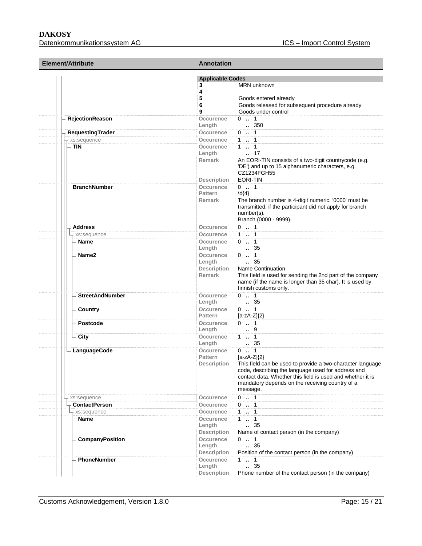| <b>Element/Attribute</b>             | <b>Annotation</b><br><b>Applicable Codes</b> |                                                                                                                        |  |
|--------------------------------------|----------------------------------------------|------------------------------------------------------------------------------------------------------------------------|--|
|                                      |                                              |                                                                                                                        |  |
|                                      | 3                                            | MRN unknown                                                                                                            |  |
|                                      | 4                                            |                                                                                                                        |  |
|                                      | 5                                            | Goods entered already                                                                                                  |  |
|                                      | 6                                            | Goods released for subsequent procedure already                                                                        |  |
|                                      | 9                                            | Goods under control                                                                                                    |  |
| RejectionReason                      | Occurence                                    | $0 \t  1$                                                                                                              |  |
|                                      | Length<br>Occurence                          | 350                                                                                                                    |  |
| RequestingTrader                     |                                              | $0 \t . 1$<br>$1 - 1$                                                                                                  |  |
| - xs:sequence<br>– TIN               | Occurence<br>Occurence                       | $1 \t  \t 1$                                                                                                           |  |
|                                      | Length                                       | $\cdot$ 17                                                                                                             |  |
|                                      | Remark                                       | An EORI-TIN consists of a two-digit countrycode (e.g.                                                                  |  |
|                                      |                                              | 'DE') and up to 15 alphanumeric characters, e.g.                                                                       |  |
|                                      |                                              | CZ1234FGH55                                                                                                            |  |
|                                      | <b>Description</b>                           | EORI-TIN                                                                                                               |  |
| <b>BranchNumber</b>                  | <b>Occurence</b>                             | $0 \t  1$                                                                                                              |  |
|                                      | <b>Pattern</b>                               | $\{4\}$                                                                                                                |  |
|                                      | <b>Remark</b>                                | The branch number is 4-digit numeric. '0000' must be                                                                   |  |
|                                      |                                              | transmitted, if the participant did not apply for branch                                                               |  |
|                                      |                                              | number(s).                                                                                                             |  |
|                                      |                                              | Branch (0000 - 9999).                                                                                                  |  |
| <b>Address</b>                       | Occurence                                    | $0$ . 1                                                                                                                |  |
| r xs:sequence                        | Occurence                                    | $1 \t  \t 1$                                                                                                           |  |
| <b>Name</b>                          | Occurence                                    | $0 \t  1$                                                                                                              |  |
|                                      | Length                                       | . 35                                                                                                                   |  |
| Name <sub>2</sub>                    | Occurence                                    | $0 \t  1$                                                                                                              |  |
|                                      | Length                                       | $\frac{1}{2}$ 35                                                                                                       |  |
|                                      | Description<br>Remark                        | <b>Name Continuation</b>                                                                                               |  |
|                                      |                                              | This field is used for sending the 2nd part of the company<br>name (if the name is longer than 35 char). It is used by |  |
|                                      |                                              | finnish customs only.                                                                                                  |  |
| <b>StreetAndNumber</b>               | Occurence                                    | $0 \t  1$                                                                                                              |  |
|                                      | Length                                       | . 35                                                                                                                   |  |
| Country                              | Occurence                                    | $0 \t  1$                                                                                                              |  |
|                                      | <b>Pattern</b>                               | $[a-zA-Z](2)$                                                                                                          |  |
| Postcode                             | Occurence                                    | $0 \t  1$                                                                                                              |  |
|                                      | Length                                       | 9                                                                                                                      |  |
| - City                               | Occurence                                    | 1 . 1                                                                                                                  |  |
|                                      | Length                                       | . 35                                                                                                                   |  |
| $\mathrel{\sqsubseteq}$ LanguageCode | Occurence                                    | $0 \t  1$                                                                                                              |  |
|                                      | Pattern                                      | $[a-zA-Z]\{2\}$                                                                                                        |  |
|                                      | <b>Description</b>                           | This field can be used to provide a two-character language                                                             |  |
|                                      |                                              | code, describing the language used for address and                                                                     |  |
|                                      |                                              | contact data. Whether this field is used and whether it is<br>mandatory depends on the receiving country of a          |  |
|                                      |                                              | message.                                                                                                               |  |
|                                      | Occurence                                    | $0 \t . 1$                                                                                                             |  |
| xs:sequence                          |                                              | $0 \t  1$                                                                                                              |  |
| <b>ContactPerson</b>                 | Occurence<br>Occurence                       | $1 \t  1$                                                                                                              |  |
| xs:sequence<br>- Name                | Occurence                                    | $1 - 1$                                                                                                                |  |
|                                      | Length                                       | .35                                                                                                                    |  |
|                                      | <b>Description</b>                           | Name of contact person (in the company)                                                                                |  |
| <b>CompanyPosition</b>               | Occurence                                    | $0 \t  1$                                                                                                              |  |
|                                      | Length                                       | .35                                                                                                                    |  |
|                                      | <b>Description</b>                           | Position of the contact person (in the company)                                                                        |  |
| PhoneNumber                          | Occurence                                    | $1 - 1$                                                                                                                |  |
|                                      | Length                                       | 35                                                                                                                     |  |
|                                      | <b>Description</b>                           | Phone number of the contact person (in the company)                                                                    |  |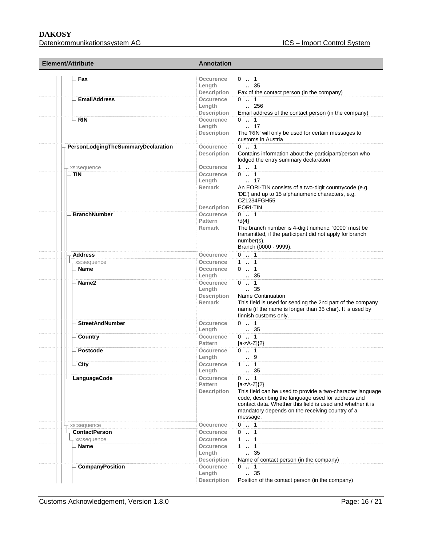| <b>Element/Attribute</b>           | <b>Annotation</b>                                                                                                                                                                                                                                                                                                         |  |  |
|------------------------------------|---------------------------------------------------------------------------------------------------------------------------------------------------------------------------------------------------------------------------------------------------------------------------------------------------------------------------|--|--|
| Fax                                | Occurence<br>$0 \t  1$<br>$\,-.35$<br>Length<br><b>Description</b><br>Fax of the contact person (in the company)                                                                                                                                                                                                          |  |  |
| <b>EmailAddress</b>                | Occurence<br>$0 \t  1$<br>Length<br>$\ldots$ 256<br>Email address of the contact person (in the company)<br>Description                                                                                                                                                                                                   |  |  |
| <b>RIN</b>                         | $0 \t  1$<br>Occurence<br>Length<br>$\ldots$ 17<br>The 'RIN' will only be used for certain messages to<br><b>Description</b><br>customs in Austria                                                                                                                                                                        |  |  |
| PersonLodgingTheSummaryDeclaration | $0 \t  1$<br>Occurence<br>Contains information about the participant/person who<br><b>Description</b><br>lodged the entry summary declaration                                                                                                                                                                             |  |  |
| xs:sequence                        | $1 \t  \t 1$<br>Occurence                                                                                                                                                                                                                                                                                                 |  |  |
| . TIN                              | $0 \t . 1$<br>Occurence<br>Length<br>17<br>An EORI-TIN consists of a two-digit countrycode (e.g.<br><b>Remark</b><br>'DE') and up to 15 alphanumeric characters, e.g.<br>CZ1234FGH55<br><b>EORI-TIN</b><br><b>Description</b>                                                                                             |  |  |
| <b>BranchNumber</b>                | $0 \t  1$<br><b>Occurence</b><br><b>Pattern</b><br>$\{d\}$<br>The branch number is 4-digit numeric. '0000' must be<br><b>Remark</b><br>transmitted, if the participant did not apply for branch<br>number(s).<br>Branch (0000 - 9999).                                                                                    |  |  |
| Address                            | $0 \t  \t 1$<br>Occurence                                                                                                                                                                                                                                                                                                 |  |  |
| xs:sequence                        | $1 \t  \t 1$<br>Occurence                                                                                                                                                                                                                                                                                                 |  |  |
| <b>Name</b>                        | $0 \t  1$<br>Occurence<br>. 35<br>Length                                                                                                                                                                                                                                                                                  |  |  |
| Name2                              | $0 \t . 1$<br>Occurence<br>$\frac{1}{2}$ 35<br>Length<br>Description<br>Name Continuation<br>This field is used for sending the 2nd part of the company<br><b>Remark</b><br>name (if the name is longer than 35 char). It is used by<br>finnish customs only.                                                             |  |  |
| <b>StreetAndNumber</b>             | $0 \t . 1$<br>Occurence<br>$\therefore$ 35<br>Length                                                                                                                                                                                                                                                                      |  |  |
| Country                            | $0 \t  1$<br>Occurence<br><b>Pattern</b><br>$[a-zA-Z]\{2\}$                                                                                                                                                                                                                                                               |  |  |
| <b>Postcode</b>                    | $0 \t  1$<br>Occurence<br>Length<br>9                                                                                                                                                                                                                                                                                     |  |  |
| City                               | Occurence<br>$1 \t  1$<br>. 35<br>Length                                                                                                                                                                                                                                                                                  |  |  |
| - LanguageCode                     | $0 \t  1$<br>Occurence<br>Pattern<br>$[a-zA-Z](2)$<br>This field can be used to provide a two-character language<br><b>Description</b><br>code, describing the language used for address and<br>contact data. Whether this field is used and whether it is<br>mandatory depends on the receiving country of a<br>message. |  |  |
| xs:sequence                        | $0$ . 1<br>Occurence                                                                                                                                                                                                                                                                                                      |  |  |
| <b>ContactPerson</b>               | $0$ . 1<br>Occurence                                                                                                                                                                                                                                                                                                      |  |  |
| - xs:sequence                      | 1  1<br>Occurence                                                                                                                                                                                                                                                                                                         |  |  |
| Name                               | $1 - 1$<br>Occurence<br>Length<br>35<br>Name of contact person (in the company)<br><b>Description</b>                                                                                                                                                                                                                     |  |  |
| CompanyPosition                    | Occurence<br>$0$ . 1<br>. 35<br>Length<br><b>Description</b><br>Position of the contact person (in the company)                                                                                                                                                                                                           |  |  |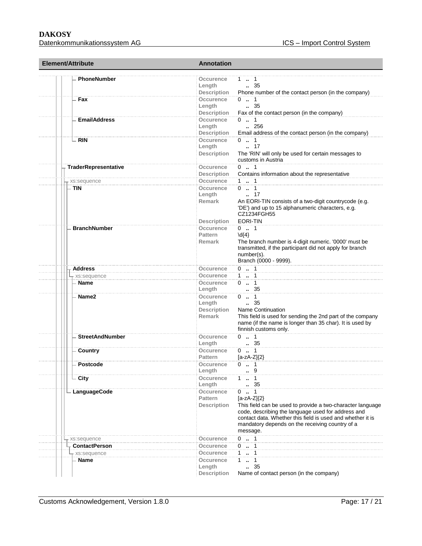| Element/Attribute           | <b>Annotation</b>                                                                                                                                                                                                                                                                                                              |  |  |
|-----------------------------|--------------------------------------------------------------------------------------------------------------------------------------------------------------------------------------------------------------------------------------------------------------------------------------------------------------------------------|--|--|
| <b>PhoneNumber</b>          | Occurence<br>1 . 1<br>$\,-.35$<br>Length<br><b>Description</b><br>Phone number of the contact person (in the company)                                                                                                                                                                                                          |  |  |
| Fax                         | Occurence<br>$0 \t  1$<br>Length<br>$\frac{35}{2}$<br>Description<br>Fax of the contact person (in the company)                                                                                                                                                                                                                |  |  |
| <b>EmailAddress</b>         | $0 \t  1$<br>Occurence<br>Length<br>.256<br>Description<br>Email address of the contact person (in the company)                                                                                                                                                                                                                |  |  |
| <b>RIN</b>                  | Occurence<br>$0 \t  1$<br>$\ldots$ 17<br>Length<br>The 'RIN' will only be used for certain messages to<br>Description<br>customs in Austria                                                                                                                                                                                    |  |  |
| <b>TraderRepresentative</b> | $0 \t  1$<br>Occurence<br>Description<br>Contains information about the representative                                                                                                                                                                                                                                         |  |  |
| xs:sequence                 | <b>Occurence</b><br>1  1                                                                                                                                                                                                                                                                                                       |  |  |
| <b>TIN</b>                  | $0 \t  1$<br>Occurence<br>$\ldots$ 17<br>Length<br>Remark<br>An EORI-TIN consists of a two-digit countrycode (e.g.<br>'DE') and up to 15 alphanumeric characters, e.g.<br>CZ1234FGH55                                                                                                                                          |  |  |
|                             | <b>EORI-TIN</b><br><b>Description</b>                                                                                                                                                                                                                                                                                          |  |  |
| <b>BranchNumber</b>         | $0 \t  1$<br>Occurence<br><b>Pattern</b><br>$\{4\}$<br>The branch number is 4-digit numeric. '0000' must be<br><b>Remark</b><br>transmitted, if the participant did not apply for branch<br>number(s).<br>Branch (0000 - 9999).                                                                                                |  |  |
| <b>Address</b>              | $0 \t  1$<br>Occurence                                                                                                                                                                                                                                                                                                         |  |  |
| - xs:sequence               | $1 \quad 1$<br>Occurence                                                                                                                                                                                                                                                                                                       |  |  |
| Name                        | $0 \t  1$<br>Occurence<br>35<br>Length                                                                                                                                                                                                                                                                                         |  |  |
| Name2                       | $0 \t  1$<br>Occurence<br>$\, 35$<br>Length<br><b>Name Continuation</b><br>Description<br>This field is used for sending the 2nd part of the company<br>Remark<br>name (if the name is longer than 35 char). It is used by<br>finnish customs only.                                                                            |  |  |
| <b>StreetAndNumber</b>      | $0 \t  1$<br><b>Occurence</b><br>. 35<br>Lenath                                                                                                                                                                                                                                                                                |  |  |
| Country                     | Occurence<br>$0 \t  1$<br>$[a-zA-Z]\{2\}$<br><b>Pattern</b>                                                                                                                                                                                                                                                                    |  |  |
| Postcode                    | $0 \t  1$<br>Occurence<br>Length<br>9                                                                                                                                                                                                                                                                                          |  |  |
| City                        | $\cdots$ 1<br>Occurence<br>1<br>. 35<br>Lenath                                                                                                                                                                                                                                                                                 |  |  |
| - LanguageCode              | Occurence<br>$0$ . 1<br><b>Pattern</b><br>$[a-zA-Z](2)$<br>This field can be used to provide a two-character language<br><b>Description</b><br>code, describing the language used for address and<br>contact data. Whether this field is used and whether it is<br>mandatory depends on the receiving country of a<br>message. |  |  |
| xs:sequence                 | $0 \t  1$<br>Occurence                                                                                                                                                                                                                                                                                                         |  |  |
| <b>ContactPerson</b>        | $0 \t  1$<br>Occurence                                                                                                                                                                                                                                                                                                         |  |  |
| xs:sequence                 | $\ldots$ 1<br>Occurence<br>1                                                                                                                                                                                                                                                                                                   |  |  |
| <b>Name</b>                 | 11<br>Occurence<br>. 35<br>Length<br><b>Description</b><br>Name of contact person (in the company)                                                                                                                                                                                                                             |  |  |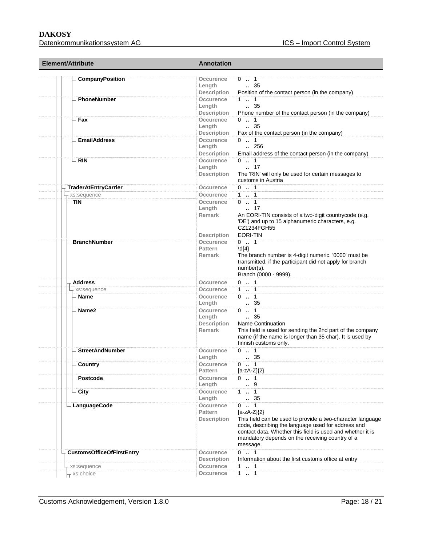Datenkommunikationssystem AG **ICS** – Import Control System

| Element/Attribute                     |                                  | <b>Annotation</b>                                          |                                                                                                                                                                                                                                                                               |  |
|---------------------------------------|----------------------------------|------------------------------------------------------------|-------------------------------------------------------------------------------------------------------------------------------------------------------------------------------------------------------------------------------------------------------------------------------|--|
| <b>CompanyPosition</b>                |                                  | Occurence<br>Length<br><b>Description</b>                  | 0 . 1<br>$\frac{1}{2}$ 35<br>Position of the contact person (in the company)                                                                                                                                                                                                  |  |
| <b>PhoneNumber</b>                    |                                  | Occurence<br>Length<br>Description                         | $1 \t  \t 1$<br>$\, 35$<br>Phone number of the contact person (in the company)                                                                                                                                                                                                |  |
| - Fax                                 |                                  | Occurence<br>Length<br>Description                         | $0 \t  1$<br>$\, 35$<br>Fax of the contact person (in the company)                                                                                                                                                                                                            |  |
| <b>EmailAddress</b>                   |                                  | Occurence<br>Length<br>Description                         | $0 \t  1$<br>$\ldots$ 256<br>Email address of the contact person (in the company)                                                                                                                                                                                             |  |
| – RIN                                 |                                  | Occurence<br>Length<br><b>Description</b>                  | $0 \t  1$<br>$\ldots$ 17<br>The 'RIN' will only be used for certain messages to<br>customs in Austria                                                                                                                                                                         |  |
| <b>TraderAtEntryCarrier</b>           |                                  | Occurence                                                  | $0 \t . 1$                                                                                                                                                                                                                                                                    |  |
| xs:sequence                           |                                  | Occurence                                                  | 1  1                                                                                                                                                                                                                                                                          |  |
| - TIN                                 |                                  | Occurence<br>Length<br><b>Remark</b><br><b>Description</b> | $0 \t  1$<br>$\ldots$ 17<br>An EORI-TIN consists of a two-digit countrycode (e.g.<br>'DE') and up to 15 alphanumeric characters, e.g.<br>CZ1234FGH55<br><b>EORI-TIN</b>                                                                                                       |  |
| <b>BranchNumber</b>                   |                                  | Occurence<br><b>Pattern</b><br><b>Remark</b>               | $0 \t  1$<br>$\{4\}$<br>The branch number is 4-digit numeric. '0000' must be<br>transmitted, if the participant did not apply for branch<br>number(s).<br>Branch (0000 - 9999).                                                                                               |  |
| <b>Address</b>                        |                                  | <b>Occurence</b>                                           | $0 \t  1$                                                                                                                                                                                                                                                                     |  |
| xs:sequence                           |                                  | Occurence                                                  | 1  1                                                                                                                                                                                                                                                                          |  |
| <b>Name</b>                           |                                  | Occurence<br>Length                                        | $0 \t  1$<br>35                                                                                                                                                                                                                                                               |  |
| Name2                                 |                                  | Occurence<br>Length<br>Description<br>Remark               | $0 \t . 1$<br>$\frac{1}{2}$ 35<br>Name Continuation<br>This field is used for sending the 2nd part of the company<br>name (if the name is longer than 35 char). It is used by<br>finnish customs only.                                                                        |  |
| <b>StreetAndNumber</b>                |                                  | Occurence<br>Length                                        | $0 \t  1$<br>. 35                                                                                                                                                                                                                                                             |  |
| Country                               |                                  | Occurence<br><b>Pattern</b>                                | $0 \t  1$<br>$[a-zA-Z]\{2\}$                                                                                                                                                                                                                                                  |  |
| Postcode                              |                                  | Occurence<br>Length                                        | $0 \t  1$<br>9                                                                                                                                                                                                                                                                |  |
| - City                                |                                  | Occurence<br>Length                                        | $\cdots$ 1<br>1<br>35                                                                                                                                                                                                                                                         |  |
| LanguageCode                          |                                  | Occurence<br>Pattern<br><b>Description</b>                 | $0 \t  1$<br>$[a-zA-Z]\{2\}$<br>This field can be used to provide a two-character language<br>code, describing the language used for address and<br>contact data. Whether this field is used and whether it is<br>mandatory depends on the receiving country of a<br>message. |  |
|                                       | <b>CustomsOfficeOfFirstEntry</b> | Occurence                                                  | $0 \t . 1$                                                                                                                                                                                                                                                                    |  |
|                                       |                                  | Description<br>Occurence                                   | Information about the first customs office at entry<br>1.1                                                                                                                                                                                                                    |  |
| xs:sequence<br><sub>r</sub> xs:choice |                                  | Occurence                                                  | $1 - 1$                                                                                                                                                                                                                                                                       |  |
|                                       |                                  |                                                            |                                                                                                                                                                                                                                                                               |  |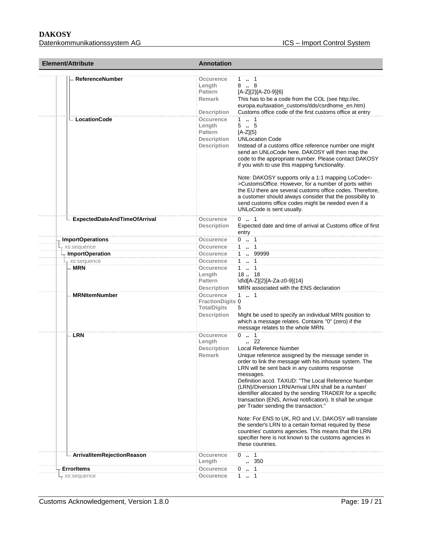| <b>Element/Attribute</b>                   | <b>Annotation</b>                                                                                                                                                                                                                                                                                                                                                                                                                                                                                                                                                                                                                                                                                                                                                                                                                                                                                                                                                                      |  |
|--------------------------------------------|----------------------------------------------------------------------------------------------------------------------------------------------------------------------------------------------------------------------------------------------------------------------------------------------------------------------------------------------------------------------------------------------------------------------------------------------------------------------------------------------------------------------------------------------------------------------------------------------------------------------------------------------------------------------------------------------------------------------------------------------------------------------------------------------------------------------------------------------------------------------------------------------------------------------------------------------------------------------------------------|--|
| <b>ReferenceNumber</b><br>$-$ LocationCode | Occurence<br>1. 1<br>8.8<br>Length<br>[A-Z]{2}[A-Z0-9]{6}<br><b>Pattern</b><br>Remark<br>This has to be a code from the COL (see http://ec.<br>europa.eu/taxation_customs/dds/csrdhome_en.htm)<br>Customs office code of the first customs office at entry<br><b>Description</b><br>$1 \t  1$<br>Occurence<br>Length<br>55<br><b>Pattern</b><br>$[A-Z]\{5\}$<br><b>Description</b><br><b>UNLocation Code</b><br><b>Description</b><br>Instead of a customs office reference number one might<br>send an UNLoCode here. DAKOSY will then map the<br>code to the appropriate number. Please contact DAKOSY<br>if you wish to use this mapping functionality.<br>Note: DAKOSY supports only a 1:1 mapping LoCode<-<br>>CustomsOffice. However, for a number of ports within<br>the EU there are several customs office codes. Therefore,<br>a customer should always consider that the possibility to<br>send customs office codes might be needed even if a<br>UNLoCode is sent usually. |  |
| <b>ExpectedDateAndTimeOfArrival</b>        | $0 \t  1$<br>Occurence<br>Expected date and time of arrival at Customs office of first<br>Description                                                                                                                                                                                                                                                                                                                                                                                                                                                                                                                                                                                                                                                                                                                                                                                                                                                                                  |  |
|                                            | entry                                                                                                                                                                                                                                                                                                                                                                                                                                                                                                                                                                                                                                                                                                                                                                                                                                                                                                                                                                                  |  |
| <b>ImportOperations</b>                    | $0 \t  1$<br>Occurence                                                                                                                                                                                                                                                                                                                                                                                                                                                                                                                                                                                                                                                                                                                                                                                                                                                                                                                                                                 |  |
| xs:sequence                                | 1  1<br>Occurence                                                                                                                                                                                                                                                                                                                                                                                                                                                                                                                                                                                                                                                                                                                                                                                                                                                                                                                                                                      |  |
| <b>ImportOperation</b>                     | 1  99999<br>Occurence                                                                                                                                                                                                                                                                                                                                                                                                                                                                                                                                                                                                                                                                                                                                                                                                                                                                                                                                                                  |  |
| - xs:sequence                              | $1 \t  \t 1$<br>Occurence                                                                                                                                                                                                                                                                                                                                                                                                                                                                                                                                                                                                                                                                                                                                                                                                                                                                                                                                                              |  |
| <b>MRN</b><br><b>MRNItemNumber</b>         | 1  1<br>Occurence<br>Length<br>1818<br>\d\d[A-Z]{2}[A-Za-z0-9]{14}<br>Pattern<br>MRN associated with the ENS declaration<br>Description<br>Occurence<br>$1 \t  1$                                                                                                                                                                                                                                                                                                                                                                                                                                                                                                                                                                                                                                                                                                                                                                                                                      |  |
|                                            | <b>FractionDigits 0</b><br><b>TotalDigits</b><br>5<br><b>Description</b><br>Might be used to specify an individual MRN position to<br>which a message relates. Contains "0" (zero) if the<br>message relates to the whole MRN.                                                                                                                                                                                                                                                                                                                                                                                                                                                                                                                                                                                                                                                                                                                                                         |  |
| - LRN                                      | $0 \t . 1$<br>Occurence<br>$\cdot$ 22<br>Length<br><b>Description</b><br>Local Reference Number<br>Unique reference assigned by the message sender in<br>Remark<br>order to link the message with his inhouse system. The<br>LRN will be sent back in any customs response<br>messages.<br>Definition accd. TAXUD: "The Local Reference Number<br>(LRN)/Diversion LRN/Arrival LRN shall be a number/<br>identifier allocated by the sending TRADER for a specific<br>transaction (ENS, Arrival notification). It shall be unique<br>per Trader sending the transaction."<br>Note: For ENS to UK, RO and LV, DAKOSY will translate<br>the sender's LRN to a certain format required by these<br>countries' customs agencies. This means that the LRN<br>specifier here is not known to the customs agencies in<br>these countries.                                                                                                                                                      |  |
| ArrivalItemRejectionReason                 | $0 \t  1$<br>Occurence                                                                                                                                                                                                                                                                                                                                                                                                                                                                                                                                                                                                                                                                                                                                                                                                                                                                                                                                                                 |  |
|                                            | 350<br>Length                                                                                                                                                                                                                                                                                                                                                                                                                                                                                                                                                                                                                                                                                                                                                                                                                                                                                                                                                                          |  |
| <b>ErrorItems</b>                          | $0$ . 1<br>Occurence                                                                                                                                                                                                                                                                                                                                                                                                                                                                                                                                                                                                                                                                                                                                                                                                                                                                                                                                                                   |  |
| r xs:sequence                              | 1  1<br>Occurence                                                                                                                                                                                                                                                                                                                                                                                                                                                                                                                                                                                                                                                                                                                                                                                                                                                                                                                                                                      |  |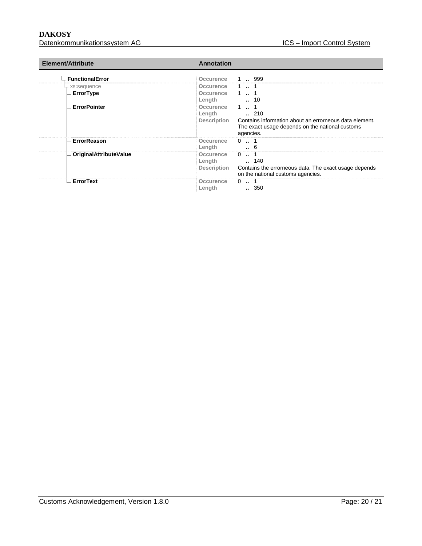| Element/Attribute             | Annotation                                                                                                                                                                   |  |
|-------------------------------|------------------------------------------------------------------------------------------------------------------------------------------------------------------------------|--|
| <b>FunctionalError</b>        | 999<br>ccurence                                                                                                                                                              |  |
| <sub>r</sub> xs:sequence      | Occurence                                                                                                                                                                    |  |
| ErrorType                     | Occurence<br>Length<br>10                                                                                                                                                    |  |
| <b>ErrorPointer</b>           | Occurence<br>$\ldots$ 210<br>Length<br>Description<br>Contains information about an errorneous data element.<br>The exact usage depends on the national customs<br>agencies. |  |
| <b>ErrorReason</b>            | Occurence<br>0<br>Length                                                                                                                                                     |  |
| <b>OriginalAttributeValue</b> | Occurence<br>0<br>$\ldots$ 140<br>Length<br><b>Description</b><br>Contains the errorneous data. The exact usage depends<br>on the national customs agencies.                 |  |
| – ErrorText                   | $\Omega$<br>Occurence<br>350<br>Lenath                                                                                                                                       |  |